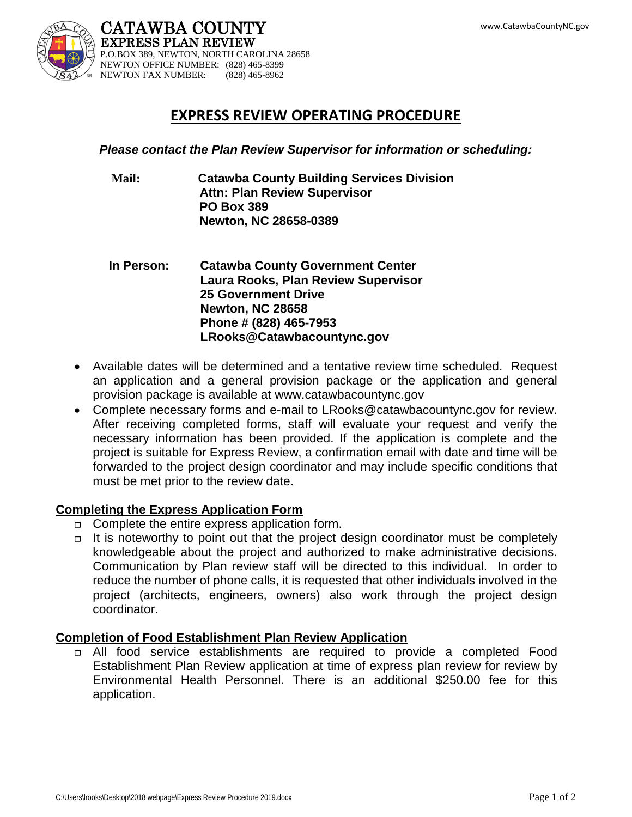

## **EXPRESS REVIEW OPERATING PROCEDURE**

*Please contact the Plan Review Supervisor for information or scheduling:*

- **Mail: Catawba County Building Services Division Attn: Plan Review Supervisor PO Box 389 Newton, NC 28658-0389**
- **In Person: Catawba County Government Center Laura Rooks, Plan Review Supervisor 25 Government Drive Newton, NC 28658 Phone # (828) 465-7953 LRooks@Catawbacountync.gov**
- Available dates will be determined and a tentative review time scheduled. Request an application and a general provision package or the application and general provision package is available at www.catawbacountync.gov
- Complete necessary forms and e-mail to LRooks@catawbacountync.gov for review. After receiving completed forms, staff will evaluate your request and verify the necessary information has been provided. If the application is complete and the project is suitable for Express Review, a confirmation email with date and time will be forwarded to the project design coordinator and may include specific conditions that must be met prior to the review date.

## **Completing the Express Application Form**

- $\Box$  Complete the entire express application form.
- $\Box$  It is noteworthy to point out that the project design coordinator must be completely knowledgeable about the project and authorized to make administrative decisions. Communication by Plan review staff will be directed to this individual. In order to reduce the number of phone calls, it is requested that other individuals involved in the project (architects, engineers, owners) also work through the project design coordinator.

## **Completion of Food Establishment Plan Review Application**

 All food service establishments are required to provide a completed Food Establishment Plan Review application at time of express plan review for review by Environmental Health Personnel. There is an additional \$250.00 fee for this application.